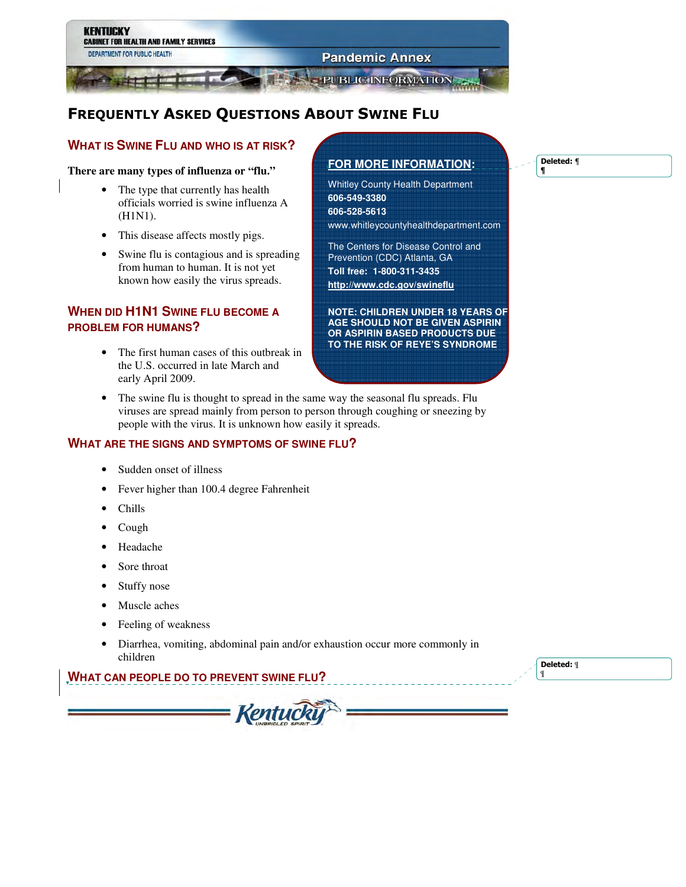

# FREQUENTLY ASKED QUESTIONS ABOUT SWINE FLU

## **WHAT IS SWINE FLU AND WHO IS AT RISK?**

#### **There are many types of influenza or "flu."**

- The type that currently has health officials worried is swine influenza A (H1N1).
- This disease affects mostly pigs.
- Swine flu is contagious and is spreading from human to human. It is not yet known how easily the virus spreads.

# **WHEN DID H1N1 SWINE FLU BECOME A PROBLEM FOR HUMANS?**

• The first human cases of this outbreak in the U.S. occurred in late March and early April 2009.

# **FOR MORE INFORMATION:**

Whitley County Health Department **606-549-3380 606-528-5613**  www.whitleycountyhealthdepartment.com

The Centers for Disease Control and Prevention (CDC) Atlanta, GA **Toll free: 1-800-311-3435 http://www.cdc.gov/swineflu**

**NOTE: CHILDREN UNDER 18 YEARS OF AGE SHOULD NOT BE GIVEN ASPIRIN OR ASPIRIN BASED PRODUCTS DUE TO THE RISK OF REYE'S SYNDROME** 

The swine flu is thought to spread in the same way the seasonal flu spreads. Flu viruses are spread mainly from person to person through coughing or sneezing by people with the virus. It is unknown how easily it spreads.

### **WHAT ARE THE SIGNS AND SYMPTOMS OF SWINE FLU?**

- Sudden onset of illness
- Fever higher than 100.4 degree Fahrenheit
- Chills
- Cough
- Headache
- Sore throat
- Stuffy nose
- Muscle aches
- Feeling of weakness
- Diarrhea, vomiting, abdominal pain and/or exhaustion occur more commonly in children

Kentucki

## **WHAT CAN PEOPLE DO TO PREVENT SWINE FLU?**

Deleted: ¶ ¶

Deleted: ¶ **¶**